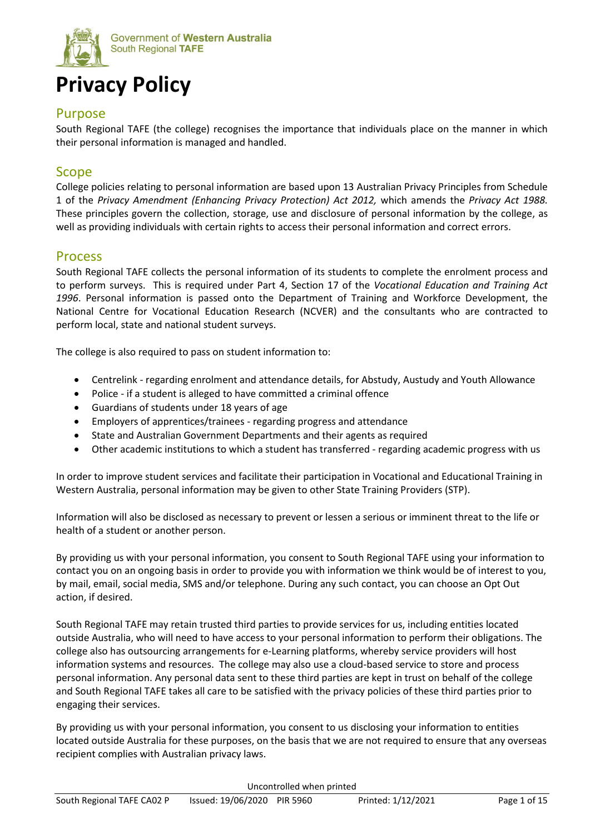

## Purpose

South Regional TAFE (the college) recognises the importance that individuals place on the manner in which their personal information is managed and handled.

## Scope

College policies relating to personal information are based upon 13 Australian Privacy Principles from Schedule 1 of the *Privacy Amendment (Enhancing Privacy Protection) Act 2012,* which amends the *Privacy Act 1988.* These principles govern the collection, storage, use and disclosure of personal information by the college, as well as providing individuals with certain rights to access their personal information and correct errors.

## **Process**

South Regional TAFE collects the personal information of its students to complete the enrolment process and to perform surveys. This is required under Part 4, Section 17 of the *Vocational Education and Training Act 1996*. Personal information is passed onto the Department of Training and Workforce Development, the National Centre for Vocational Education Research (NCVER) and the consultants who are contracted to perform local, state and national student surveys.

The college is also required to pass on student information to:

- Centrelink regarding enrolment and attendance details, for Abstudy, Austudy and Youth Allowance
- Police if a student is alleged to have committed a criminal offence
- Guardians of students under 18 years of age
- Employers of apprentices/trainees regarding progress and attendance
- State and Australian Government Departments and their agents as required
- Other academic institutions to which a student has transferred regarding academic progress with us

In order to improve student services and facilitate their participation in Vocational and Educational Training in Western Australia, personal information may be given to other State Training Providers (STP).

Information will also be disclosed as necessary to prevent or lessen a serious or imminent threat to the life or health of a student or another person.

By providing us with your personal information, you consent to South Regional TAFE using your information to contact you on an ongoing basis in order to provide you with information we think would be of interest to you, by mail, email, social media, SMS and/or telephone. During any such contact, you can choose an Opt Out action, if desired.

South Regional TAFE may retain trusted third parties to provide services for us, including entities located outside Australia, who will need to have access to your personal information to perform their obligations. The college also has outsourcing arrangements for e-Learning platforms, whereby service providers will host information systems and resources. The college may also use a cloud-based service to store and process personal information. Any personal data sent to these third parties are kept in trust on behalf of the college and South Regional TAFE takes all care to be satisfied with the privacy policies of these third parties prior to engaging their services.

By providing us with your personal information, you consent to us disclosing your information to entities located outside Australia for these purposes, on the basis that we are not required to ensure that any overseas recipient complies with Australian privacy laws.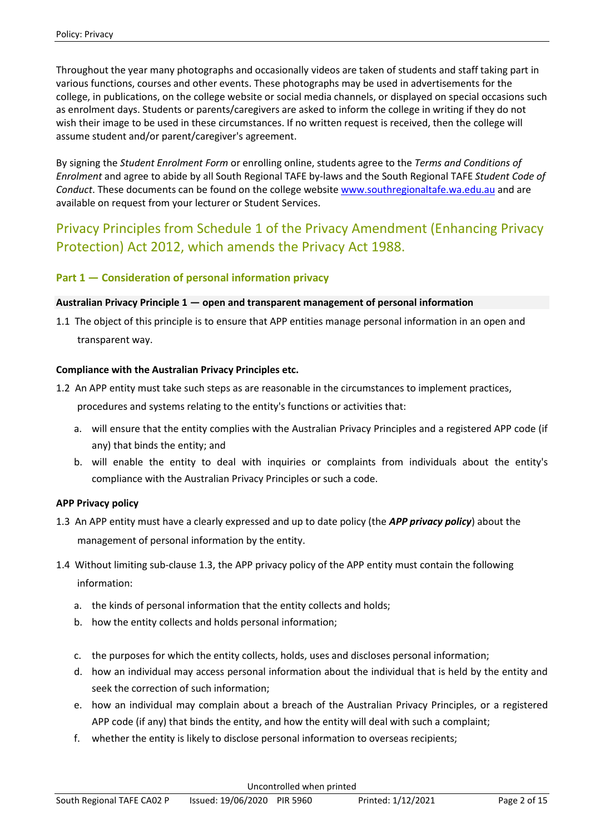Throughout the year many photographs and occasionally videos are taken of students and staff taking part in various functions, courses and other events. These photographs may be used in advertisements for the college, in publications, on the college website or social media channels, or displayed on special occasions such as enrolment days. Students or parents/caregivers are asked to inform the college in writing if they do not wish their image to be used in these circumstances. If no written request is received, then the college will assume student and/or parent/caregiver's agreement.

By signing the *Student Enrolment Form* or enrolling online, students agree to the *Terms and Conditions of Enrolment* and agree to abide by all South Regional TAFE by-laws and the South Regional TAFE *Student Code of Conduct*. These documents can be found on the college website [www.southregionaltafe.wa.edu.au](http://www.southregionaltafe.wa.edu.au/) and are available on request from your lecturer or Student Services.

# Privacy Principles from Schedule 1 of the Privacy Amendment (Enhancing Privacy Protection) Act 2012, which amends the Privacy Act 1988.

## **Part 1 — Consideration of personal information privacy**

## **Australian Privacy Principle 1 — open and transparent management of personal information**

1.1 The object of this principle is to ensure that APP entities manage personal information in an open and transparent way.

## **Compliance with the Australian Privacy Principles etc.**

- 1.2 An APP entity must take such steps as are reasonable in the circumstances to implement practices, procedures and systems relating to the entity's functions or activities that:
	- a. will ensure that the entity complies with the Australian Privacy Principles and a registered APP code (if any) that binds the entity; and
	- b. will enable the entity to deal with inquiries or complaints from individuals about the entity's compliance with the Australian Privacy Principles or such a code.

## **APP Privacy policy**

- 1.3 An APP entity must have a clearly expressed and up to date policy (the *APP privacy policy*) about the management of personal information by the entity.
- 1.4 Without limiting sub-clause 1.3, the APP privacy policy of the APP entity must contain the following information:
	- a. the kinds of personal information that the entity collects and holds;
	- b. how the entity collects and holds personal information;
	- c. the purposes for which the entity collects, holds, uses and discloses personal information;
	- d. how an individual may access personal information about the individual that is held by the entity and seek the correction of such information;
	- e. how an individual may complain about a breach of the Australian Privacy Principles, or a registered APP code (if any) that binds the entity, and how the entity will deal with such a complaint;
	- f. whether the entity is likely to disclose personal information to overseas recipients;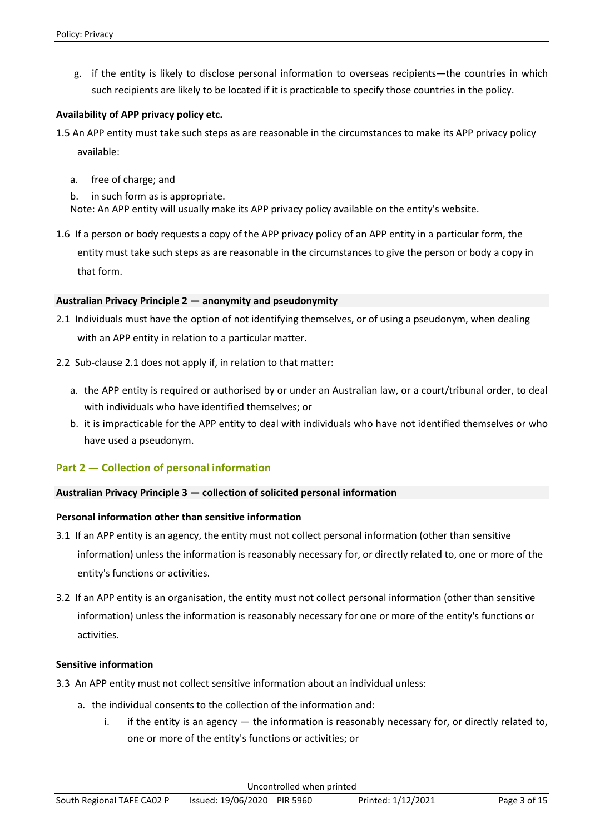g. if the entity is likely to disclose personal information to overseas recipients—the countries in which such recipients are likely to be located if it is practicable to specify those countries in the policy.

## **Availability of APP privacy policy etc.**

- 1.5 An APP entity must take such steps as are reasonable in the circumstances to make its APP privacy policy available:
	- a. free of charge; and
	- b. in such form as is appropriate.

Note: An APP entity will usually make its APP privacy policy available on the entity's website.

1.6 If a person or body requests a copy of the APP privacy policy of an APP entity in a particular form, the entity must take such steps as are reasonable in the circumstances to give the person or body a copy in that form.

## **Australian Privacy Principle 2 — anonymity and pseudonymity**

- 2.1 Individuals must have the option of not identifying themselves, or of using a pseudonym, when dealing with an APP entity in relation to a particular matter.
- 2.2 Sub-clause 2.1 does not apply if, in relation to that matter:
	- a. the APP entity is required or authorised by or under an Australian law, or a court/tribunal order, to deal with individuals who have identified themselves; or
	- b. it is impracticable for the APP entity to deal with individuals who have not identified themselves or who have used a pseudonym.

## **Part 2 — Collection of personal information**

## **Australian Privacy Principle 3 — collection of solicited personal information**

## **Personal information other than sensitive information**

- 3.1 If an APP entity is an agency, the entity must not collect personal information (other than sensitive information) unless the information is reasonably necessary for, or directly related to, one or more of the entity's functions or activities.
- 3.2 If an APP entity is an organisation, the entity must not collect personal information (other than sensitive information) unless the information is reasonably necessary for one or more of the entity's functions or activities.

## **Sensitive information**

- 3.3 An APP entity must not collect sensitive information about an individual unless:
	- a. the individual consents to the collection of the information and:
		- i. if the entity is an agency the information is reasonably necessary for, or directly related to, one or more of the entity's functions or activities; or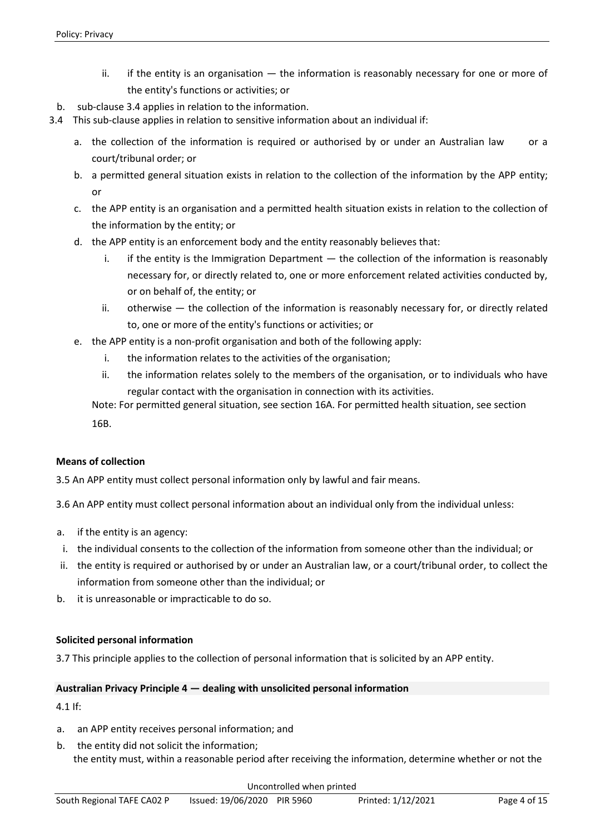- $ii.$  if the entity is an organisation  $-$  the information is reasonably necessary for one or more of the entity's functions or activities; or
- b. sub-clause 3.4 applies in relation to the information.
- 3.4 This sub-clause applies in relation to sensitive information about an individual if:
	- a. the collection of the information is required or authorised by or under an Australian law or a court/tribunal order; or
	- b. a permitted general situation exists in relation to the collection of the information by the APP entity; or
	- c. the APP entity is an organisation and a permitted health situation exists in relation to the collection of the information by the entity; or
	- d. the APP entity is an enforcement body and the entity reasonably believes that:
		- i. if the entity is the Immigration Department the collection of the information is reasonably necessary for, or directly related to, one or more enforcement related activities conducted by, or on behalf of, the entity; or
		- ii. otherwise the collection of the information is reasonably necessary for, or directly related to, one or more of the entity's functions or activities; or
	- e. the APP entity is a non-profit organisation and both of the following apply:
		- i. the information relates to the activities of the organisation;
		- ii. the information relates solely to the members of the organisation, or to individuals who have regular contact with the organisation in connection with its activities.

Note: For permitted general situation, see section 16A. For permitted health situation, see section 16B.

## **Means of collection**

3.5 An APP entity must collect personal information only by lawful and fair means.

- 3.6 An APP entity must collect personal information about an individual only from the individual unless:
- a. if the entity is an agency:
- i. the individual consents to the collection of the information from someone other than the individual; or
- ii. the entity is required or authorised by or under an Australian law, or a court/tribunal order, to collect the information from someone other than the individual; or
- b. it is unreasonable or impracticable to do so.

## **Solicited personal information**

3.7 This principle applies to the collection of personal information that is solicited by an APP entity.

## **Australian Privacy Principle 4 — dealing with unsolicited personal information**

4.1 If:

- a. an APP entity receives personal information; and
- b. the entity did not solicit the information; the entity must, within a reasonable period after receiving the information, determine whether or not the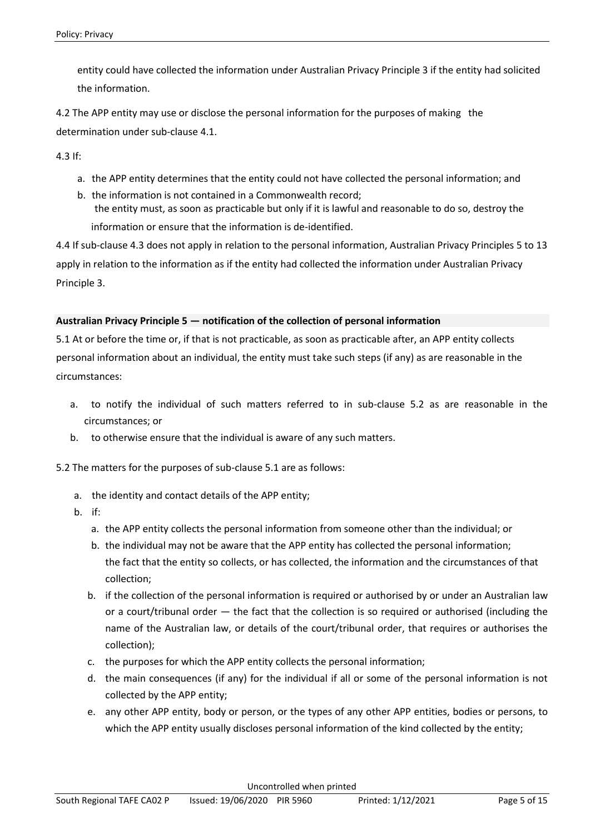entity could have collected the information under Australian Privacy Principle 3 if the entity had solicited the information.

4.2 The APP entity may use or disclose the personal information for the purposes of making the determination under sub-clause 4.1.

4.3 If:

- a. the APP entity determines that the entity could not have collected the personal information; and
- b. the information is not contained in a Commonwealth record; the entity must, as soon as practicable but only if it is lawful and reasonable to do so, destroy the information or ensure that the information is de-identified.

4.4 If sub-clause 4.3 does not apply in relation to the personal information, Australian Privacy Principles 5 to 13 apply in relation to the information as if the entity had collected the information under Australian Privacy Principle 3.

## **Australian Privacy Principle 5 — notification of the collection of personal information**

5.1 At or before the time or, if that is not practicable, as soon as practicable after, an APP entity collects personal information about an individual, the entity must take such steps (if any) as are reasonable in the circumstances:

- a. to notify the individual of such matters referred to in sub-clause 5.2 as are reasonable in the circumstances; or
- b. to otherwise ensure that the individual is aware of any such matters.

5.2 The matters for the purposes of sub-clause 5.1 are as follows:

- a. the identity and contact details of the APP entity;
- b. if:
	- a. the APP entity collects the personal information from someone other than the individual; or
	- b. the individual may not be aware that the APP entity has collected the personal information; the fact that the entity so collects, or has collected, the information and the circumstances of that collection;
	- b. if the collection of the personal information is required or authorised by or under an Australian law or a court/tribunal order — the fact that the collection is so required or authorised (including the name of the Australian law, or details of the court/tribunal order, that requires or authorises the collection);
	- c. the purposes for which the APP entity collects the personal information;
	- d. the main consequences (if any) for the individual if all or some of the personal information is not collected by the APP entity;
	- e. any other APP entity, body or person, or the types of any other APP entities, bodies or persons, to which the APP entity usually discloses personal information of the kind collected by the entity;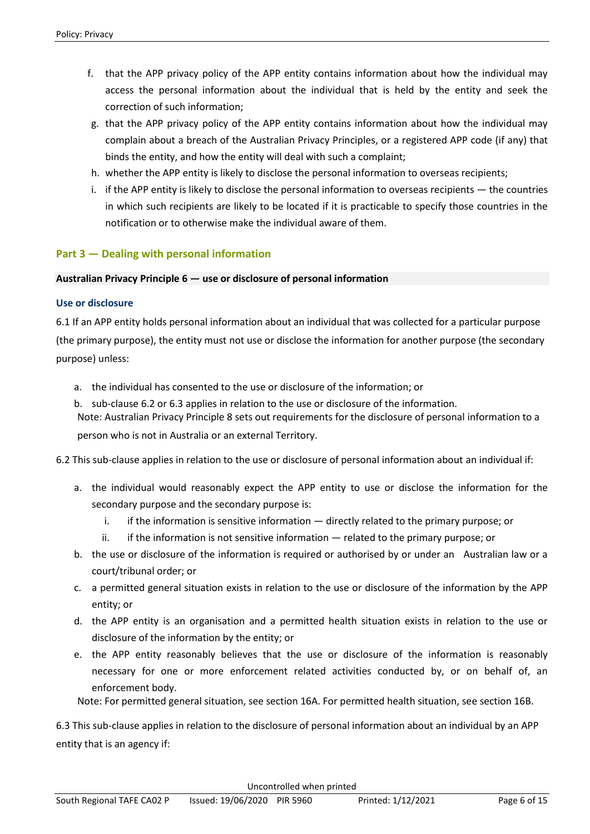- f. that the APP privacy policy of the APP entity contains information about how the individual may access the personal information about the individual that is held by the entity and seek the correction of such information;
- g. that the APP privacy policy of the APP entity contains information about how the individual may complain about a breach of the Australian Privacy Principles, or a registered APP code (if any) that binds the entity, and how the entity will deal with such a complaint;
- h. whether the APP entity is likely to disclose the personal information to overseas recipients;
- i. if the APP entity is likely to disclose the personal information to overseas recipients the countries in which such recipients are likely to be located if it is practicable to specify those countries in the notification or to otherwise make the individual aware of them.

## **Part 3 — Dealing with personal information**

## **Australian Privacy Principle 6 — use or disclosure of personal information**

## **Use or disclosure**

6.1 If an APP entity holds personal information about an individual that was collected for a particular purpose (the primary purpose), the entity must not use or disclose the information for another purpose (the secondary purpose) unless:

a. the individual has consented to the use or disclosure of the information; or

b. sub-clause 6.2 or 6.3 applies in relation to the use or disclosure of the information. Note: Australian Privacy Principle 8 sets out requirements for the disclosure of personal information to a

person who is not in Australia or an external Territory.

6.2 This sub-clause applies in relation to the use or disclosure of personal information about an individual if:

- a. the individual would reasonably expect the APP entity to use or disclose the information for the secondary purpose and the secondary purpose is:
	- i. if the information is sensitive information directly related to the primary purpose; or
	- ii. if the information is not sensitive information related to the primary purpose; or
- b. the use or disclosure of the information is required or authorised by or under an Australian law or a court/tribunal order; or
- c. a permitted general situation exists in relation to the use or disclosure of the information by the APP entity; or
- d. the APP entity is an organisation and a permitted health situation exists in relation to the use or disclosure of the information by the entity; or
- e. the APP entity reasonably believes that the use or disclosure of the information is reasonably necessary for one or more enforcement related activities conducted by, or on behalf of, an enforcement body.

Note: For permitted general situation, see section 16A. For permitted health situation, see section 16B.

6.3 This sub-clause applies in relation to the disclosure of personal information about an individual by an APP entity that is an agency if: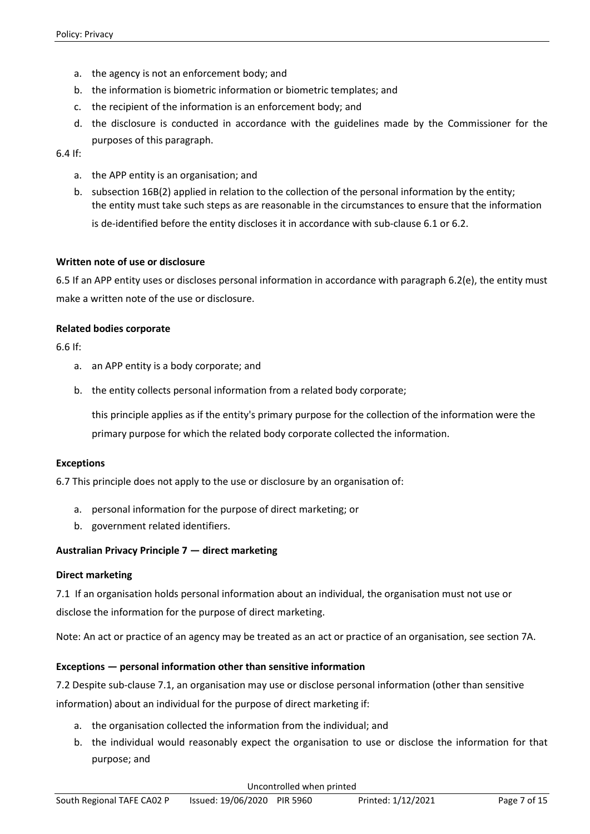- a. the agency is not an enforcement body; and
- b. the information is biometric information or biometric templates; and
- c. the recipient of the information is an enforcement body; and
- d. the disclosure is conducted in accordance with the guidelines made by the Commissioner for the purposes of this paragraph.

6.4 If:

- a. the APP entity is an organisation; and
- b. subsection 16B(2) applied in relation to the collection of the personal information by the entity; the entity must take such steps as are reasonable in the circumstances to ensure that the information is de-identified before the entity discloses it in accordance with sub-clause 6.1 or 6.2.

#### **Written note of use or disclosure**

6.5 If an APP entity uses or discloses personal information in accordance with paragraph 6.2(e), the entity must make a written note of the use or disclosure.

#### **Related bodies corporate**

6.6 If:

- a. an APP entity is a body corporate; and
- b. the entity collects personal information from a related body corporate;

this principle applies as if the entity's primary purpose for the collection of the information were the primary purpose for which the related body corporate collected the information.

#### **Exceptions**

6.7 This principle does not apply to the use or disclosure by an organisation of:

- a. personal information for the purpose of direct marketing; or
- b. government related identifiers.

#### **Australian Privacy Principle 7 — direct marketing**

#### **Direct marketing**

7.1 If an organisation holds personal information about an individual, the organisation must not use or disclose the information for the purpose of direct marketing.

Note: An act or practice of an agency may be treated as an act or practice of an organisation, see section 7A.

## **Exceptions — personal information other than sensitive information**

7.2 Despite sub-clause 7.1, an organisation may use or disclose personal information (other than sensitive information) about an individual for the purpose of direct marketing if:

- a. the organisation collected the information from the individual; and
- b. the individual would reasonably expect the organisation to use or disclose the information for that purpose; and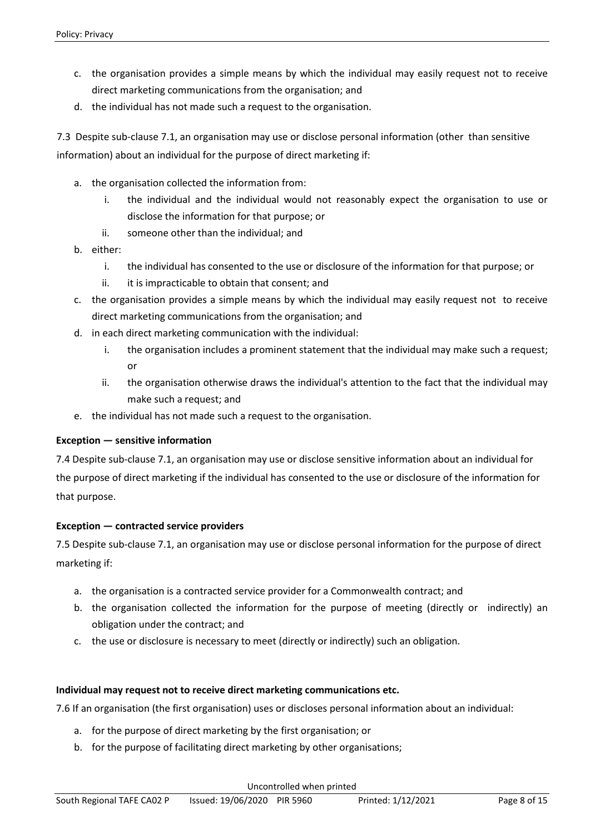- c. the organisation provides a simple means by which the individual may easily request not to receive direct marketing communications from the organisation; and
- d. the individual has not made such a request to the organisation.

7.3 Despite sub-clause 7.1, an organisation may use or disclose personal information (other than sensitive information) about an individual for the purpose of direct marketing if:

- a. the organisation collected the information from:
	- i. the individual and the individual would not reasonably expect the organisation to use or disclose the information for that purpose; or
	- ii. someone other than the individual; and
- b. either:
	- i. the individual has consented to the use or disclosure of the information for that purpose; or
	- ii. it is impracticable to obtain that consent; and
- c. the organisation provides a simple means by which the individual may easily request not to receive direct marketing communications from the organisation; and
- d. in each direct marketing communication with the individual:
	- i. the organisation includes a prominent statement that the individual may make such a request; or
	- ii. the organisation otherwise draws the individual's attention to the fact that the individual may make such a request; and
- e. the individual has not made such a request to the organisation.

## **Exception — sensitive information**

7.4 Despite sub-clause 7.1, an organisation may use or disclose sensitive information about an individual for the purpose of direct marketing if the individual has consented to the use or disclosure of the information for that purpose.

## **Exception — contracted service providers**

7.5 Despite sub-clause 7.1, an organisation may use or disclose personal information for the purpose of direct marketing if:

- a. the organisation is a contracted service provider for a Commonwealth contract; and
- b. the organisation collected the information for the purpose of meeting (directly or indirectly) an obligation under the contract; and
- c. the use or disclosure is necessary to meet (directly or indirectly) such an obligation.

## **Individual may request not to receive direct marketing communications etc.**

7.6 If an organisation (the first organisation) uses or discloses personal information about an individual:

- a. for the purpose of direct marketing by the first organisation; or
- b. for the purpose of facilitating direct marketing by other organisations;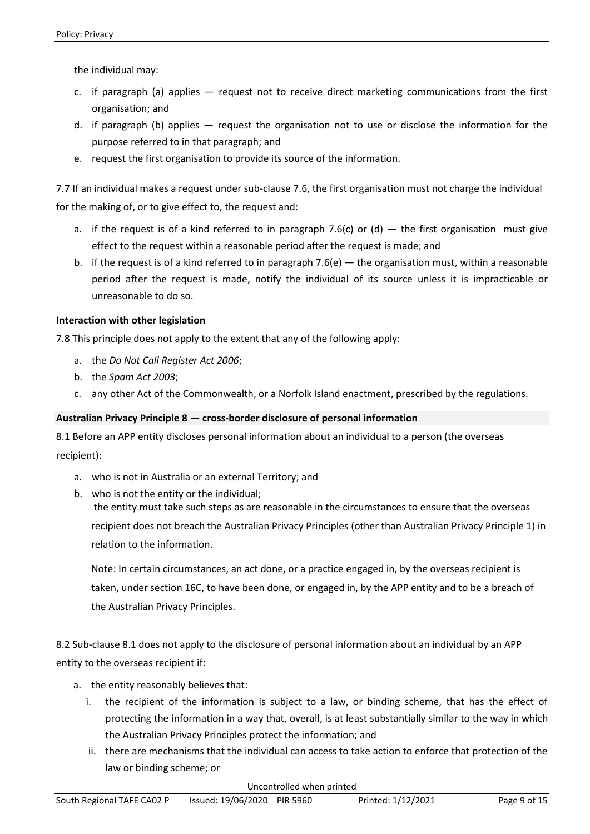the individual may:

- c. if paragraph (a) applies request not to receive direct marketing communications from the first organisation; and
- d. if paragraph (b) applies request the organisation not to use or disclose the information for the purpose referred to in that paragraph; and
- e. request the first organisation to provide its source of the information.

7.7 If an individual makes a request under sub-clause 7.6, the first organisation must not charge the individual for the making of, or to give effect to, the request and:

- a. if the request is of a kind referred to in paragraph 7.6(c) or  $(d)$  the first organisation must give effect to the request within a reasonable period after the request is made; and
- b. if the request is of a kind referred to in paragraph 7.6(e)  $-$  the organisation must, within a reasonable period after the request is made, notify the individual of its source unless it is impracticable or unreasonable to do so.

## **Interaction with other legislation**

7.8 This principle does not apply to the extent that any of the following apply:

- a. the *Do Not Call Register Act 2006*;
- b. the *Spam Act 2003*;
- c. any other Act of the Commonwealth, or a Norfolk Island enactment, prescribed by the regulations.

## **Australian Privacy Principle 8 — cross-border disclosure of personal information**

8.1 Before an APP entity discloses personal information about an individual to a person (the overseas recipient):

- a. who is not in Australia or an external Territory; and
- b. who is not the entity or the individual;

the entity must take such steps as are reasonable in the circumstances to ensure that the overseas recipient does not breach the Australian Privacy Principles (other than Australian Privacy Principle 1) in relation to the information.

Note: In certain circumstances, an act done, or a practice engaged in, by the overseas recipient is taken, under section 16C, to have been done, or engaged in, by the APP entity and to be a breach of the Australian Privacy Principles.

8.2 Sub-clause 8.1 does not apply to the disclosure of personal information about an individual by an APP entity to the overseas recipient if:

- a. the entity reasonably believes that:
	- i. the recipient of the information is subject to a law, or binding scheme, that has the effect of protecting the information in a way that, overall, is at least substantially similar to the way in which the Australian Privacy Principles protect the information; and
	- ii. there are mechanisms that the individual can access to take action to enforce that protection of the law or binding scheme; or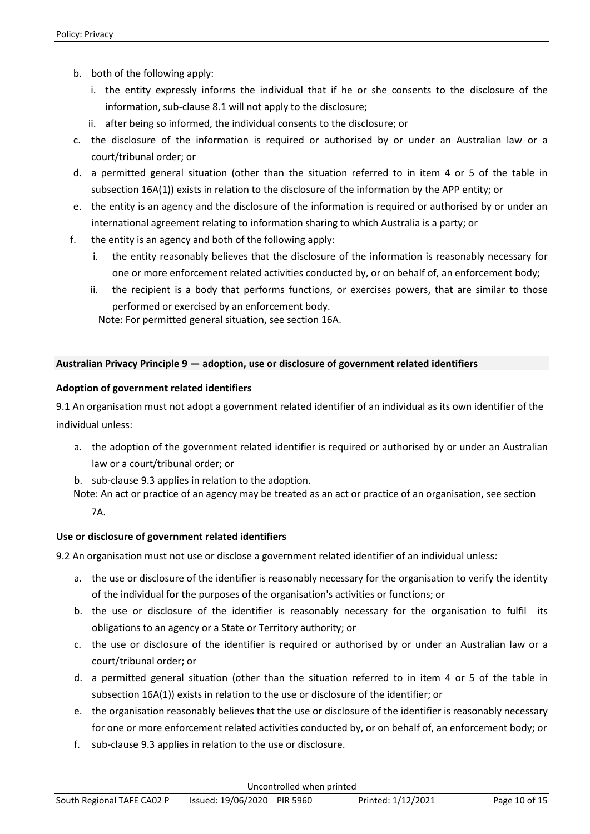- b. both of the following apply:
	- i. the entity expressly informs the individual that if he or she consents to the disclosure of the information, sub-clause 8.1 will not apply to the disclosure;
	- ii. after being so informed, the individual consents to the disclosure; or
- c. the disclosure of the information is required or authorised by or under an Australian law or a court/tribunal order; or
- d. a permitted general situation (other than the situation referred to in item 4 or 5 of the table in subsection 16A(1)) exists in relation to the disclosure of the information by the APP entity; or
- e. the entity is an agency and the disclosure of the information is required or authorised by or under an international agreement relating to information sharing to which Australia is a party; or
- f. the entity is an agency and both of the following apply:
	- i. the entity reasonably believes that the disclosure of the information is reasonably necessary for one or more enforcement related activities conducted by, or on behalf of, an enforcement body;
	- ii. the recipient is a body that performs functions, or exercises powers, that are similar to those performed or exercised by an enforcement body.

Note: For permitted general situation, see section 16A.

## **Australian Privacy Principle 9 — adoption, use or disclosure of government related identifiers**

## **Adoption of government related identifiers**

9.1 An organisation must not adopt a government related identifier of an individual as its own identifier of the individual unless:

- a. the adoption of the government related identifier is required or authorised by or under an Australian law or a court/tribunal order; or
- b. sub-clause 9.3 applies in relation to the adoption.
- Note: An act or practice of an agency may be treated as an act or practice of an organisation, see section 7A.

## **Use or disclosure of government related identifiers**

9.2 An organisation must not use or disclose a government related identifier of an individual unless:

- a. the use or disclosure of the identifier is reasonably necessary for the organisation to verify the identity of the individual for the purposes of the organisation's activities or functions; or
- b. the use or disclosure of the identifier is reasonably necessary for the organisation to fulfil its obligations to an agency or a State or Territory authority; or
- c. the use or disclosure of the identifier is required or authorised by or under an Australian law or a court/tribunal order; or
- d. a permitted general situation (other than the situation referred to in item 4 or 5 of the table in subsection 16A(1)) exists in relation to the use or disclosure of the identifier; or
- e. the organisation reasonably believes that the use or disclosure of the identifier is reasonably necessary for one or more enforcement related activities conducted by, or on behalf of, an enforcement body; or
- f. sub-clause 9.3 applies in relation to the use or disclosure.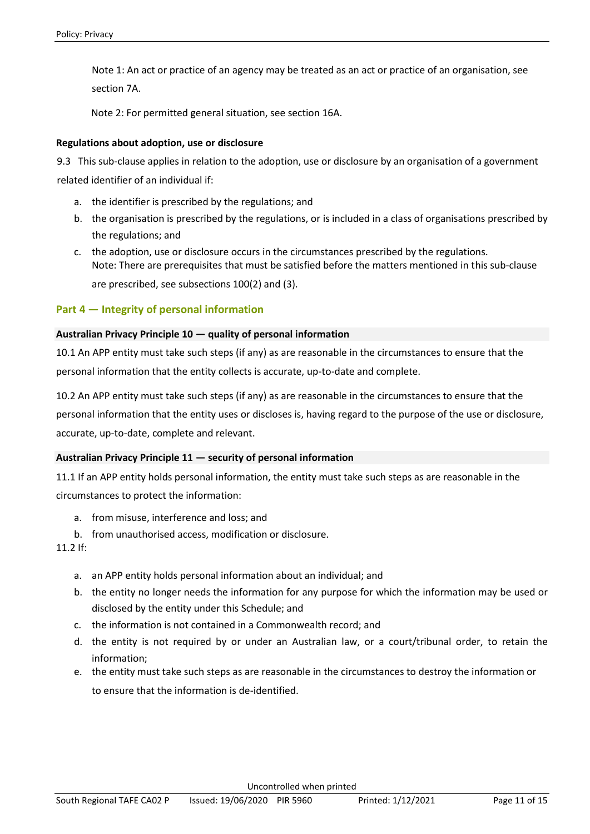Note 1: An act or practice of an agency may be treated as an act or practice of an organisation, see section 7A.

Note 2: For permitted general situation, see section 16A.

## **Regulations about adoption, use or disclosure**

9.3 This sub-clause applies in relation to the adoption, use or disclosure by an organisation of a government related identifier of an individual if:

- a. the identifier is prescribed by the regulations; and
- b. the organisation is prescribed by the regulations, or is included in a class of organisations prescribed by the regulations; and
- c. the adoption, use or disclosure occurs in the circumstances prescribed by the regulations. Note: There are prerequisites that must be satisfied before the matters mentioned in this sub-clause are prescribed, see subsections 100(2) and (3).

## **Part 4 — Integrity of personal information**

## **Australian Privacy Principle 10 — quality of personal information**

10.1 An APP entity must take such steps (if any) as are reasonable in the circumstances to ensure that the personal information that the entity collects is accurate, up-to-date and complete.

10.2 An APP entity must take such steps (if any) as are reasonable in the circumstances to ensure that the personal information that the entity uses or discloses is, having regard to the purpose of the use or disclosure, accurate, up-to-date, complete and relevant.

## **Australian Privacy Principle 11 — security of personal information**

11.1 If an APP entity holds personal information, the entity must take such steps as are reasonable in the circumstances to protect the information:

- a. from misuse, interference and loss; and
- b. from unauthorised access, modification or disclosure.

11.2 If:

- a. an APP entity holds personal information about an individual; and
- b. the entity no longer needs the information for any purpose for which the information may be used or disclosed by the entity under this Schedule; and
- c. the information is not contained in a Commonwealth record; and
- d. the entity is not required by or under an Australian law, or a court/tribunal order, to retain the information;
- e. the entity must take such steps as are reasonable in the circumstances to destroy the information or to ensure that the information is de-identified.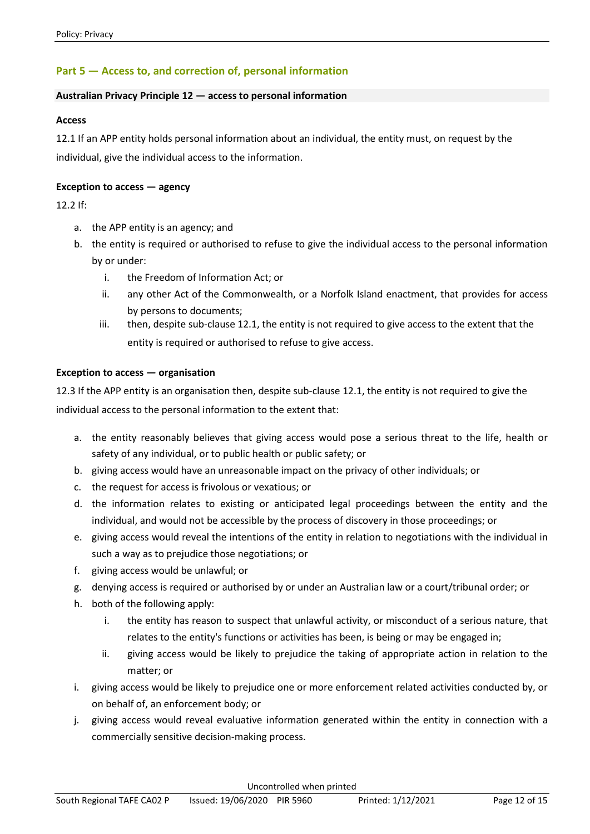## **Part 5 — Access to, and correction of, personal information**

#### **Australian Privacy Principle 12 — access to personal information**

#### **Access**

12.1 If an APP entity holds personal information about an individual, the entity must, on request by the individual, give the individual access to the information.

#### **Exception to access — agency**

12.2 If:

- a. the APP entity is an agency; and
- b. the entity is required or authorised to refuse to give the individual access to the personal information by or under:
	- i. the Freedom of Information Act; or
	- ii. any other Act of the Commonwealth, or a Norfolk Island enactment, that provides for access by persons to documents;
	- iii. then, despite sub-clause 12.1, the entity is not required to give access to the extent that the entity is required or authorised to refuse to give access.

## **Exception to access — organisation**

12.3 If the APP entity is an organisation then, despite sub-clause 12.1, the entity is not required to give the individual access to the personal information to the extent that:

- a. the entity reasonably believes that giving access would pose a serious threat to the life, health or safety of any individual, or to public health or public safety; or
- b. giving access would have an unreasonable impact on the privacy of other individuals; or
- c. the request for access is frivolous or vexatious; or
- d. the information relates to existing or anticipated legal proceedings between the entity and the individual, and would not be accessible by the process of discovery in those proceedings; or
- e. giving access would reveal the intentions of the entity in relation to negotiations with the individual in such a way as to prejudice those negotiations; or
- f. giving access would be unlawful; or
- g. denying access is required or authorised by or under an Australian law or a court/tribunal order; or
- h. both of the following apply:
	- i. the entity has reason to suspect that unlawful activity, or misconduct of a serious nature, that relates to the entity's functions or activities has been, is being or may be engaged in;
	- ii. giving access would be likely to prejudice the taking of appropriate action in relation to the matter; or
- i. giving access would be likely to prejudice one or more enforcement related activities conducted by, or on behalf of, an enforcement body; or
- j. giving access would reveal evaluative information generated within the entity in connection with a commercially sensitive decision-making process.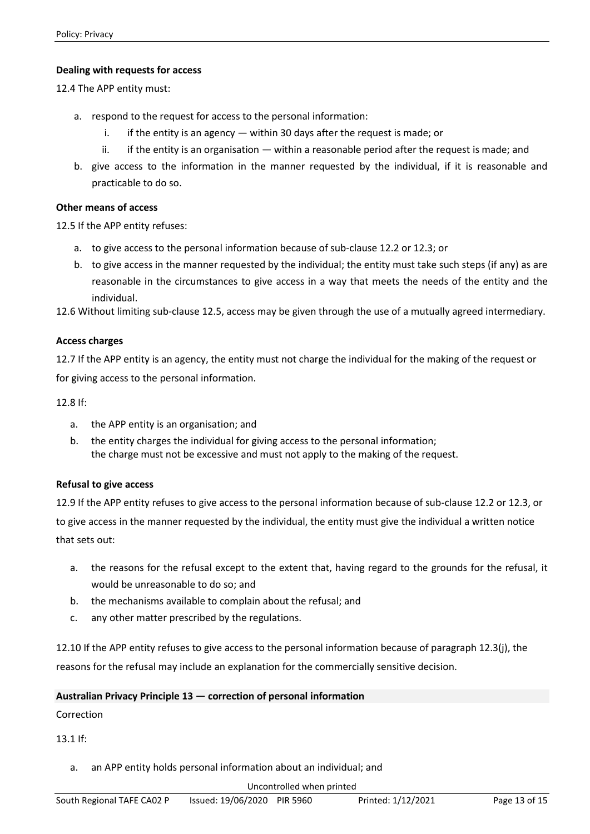## **Dealing with requests for access**

12.4 The APP entity must:

- a. respond to the request for access to the personal information:
	- i. if the entity is an agency within 30 days after the request is made; or
	- ii. if the entity is an organisation within a reasonable period after the request is made; and
- b. give access to the information in the manner requested by the individual, if it is reasonable and practicable to do so.

## **Other means of access**

12.5 If the APP entity refuses:

- a. to give access to the personal information because of sub-clause 12.2 or 12.3; or
- b. to give access in the manner requested by the individual; the entity must take such steps (if any) as are reasonable in the circumstances to give access in a way that meets the needs of the entity and the individual.

12.6 Without limiting sub-clause 12.5, access may be given through the use of a mutually agreed intermediary.

## **Access charges**

12.7 If the APP entity is an agency, the entity must not charge the individual for the making of the request or for giving access to the personal information.

12.8 If:

- a. the APP entity is an organisation; and
- b. the entity charges the individual for giving access to the personal information; the charge must not be excessive and must not apply to the making of the request.

## **Refusal to give access**

12.9 If the APP entity refuses to give access to the personal information because of sub-clause 12.2 or 12.3, or to give access in the manner requested by the individual, the entity must give the individual a written notice that sets out:

- a. the reasons for the refusal except to the extent that, having regard to the grounds for the refusal, it would be unreasonable to do so; and
- b. the mechanisms available to complain about the refusal; and
- c. any other matter prescribed by the regulations.

12.10 If the APP entity refuses to give access to the personal information because of paragraph 12.3(j), the reasons for the refusal may include an explanation for the commercially sensitive decision.

## **Australian Privacy Principle 13 — correction of personal information**

Correction

13.1 If:

a. an APP entity holds personal information about an individual; and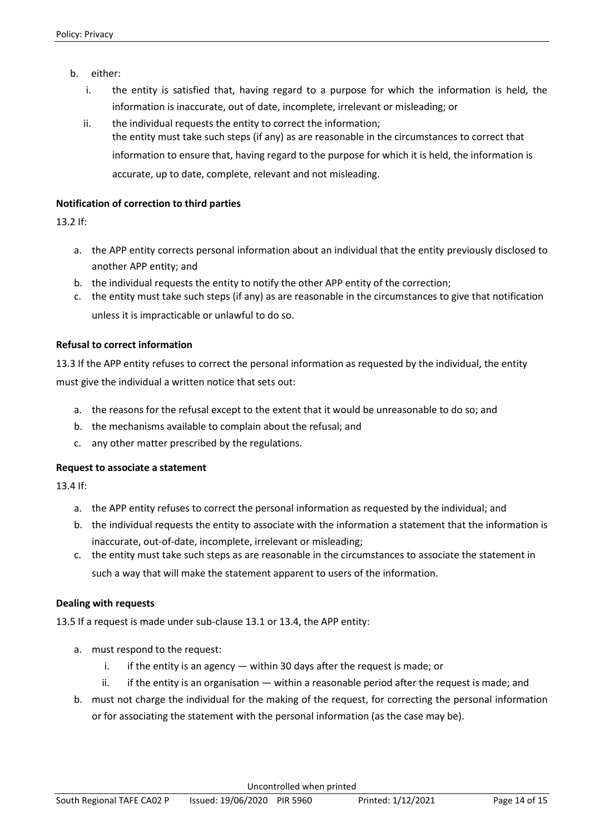- b. either:
	- i. the entity is satisfied that, having regard to a purpose for which the information is held, the information is inaccurate, out of date, incomplete, irrelevant or misleading; or
	- ii. the individual requests the entity to correct the information; the entity must take such steps (if any) as are reasonable in the circumstances to correct that information to ensure that, having regard to the purpose for which it is held, the information is accurate, up to date, complete, relevant and not misleading.

## **Notification of correction to third parties**

13.2 If:

- a. the APP entity corrects personal information about an individual that the entity previously disclosed to another APP entity; and
- b. the individual requests the entity to notify the other APP entity of the correction;
- c. the entity must take such steps (if any) as are reasonable in the circumstances to give that notification unless it is impracticable or unlawful to do so.

## **Refusal to correct information**

13.3 If the APP entity refuses to correct the personal information as requested by the individual, the entity must give the individual a written notice that sets out:

- a. the reasons for the refusal except to the extent that it would be unreasonable to do so; and
- b. the mechanisms available to complain about the refusal; and
- c. any other matter prescribed by the regulations.

## **Request to associate a statement**

13.4 If:

- a. the APP entity refuses to correct the personal information as requested by the individual; and
- b. the individual requests the entity to associate with the information a statement that the information is inaccurate, out-of-date, incomplete, irrelevant or misleading;
- c. the entity must take such steps as are reasonable in the circumstances to associate the statement in such a way that will make the statement apparent to users of the information.

## **Dealing with requests**

13.5 If a request is made under sub-clause 13.1 or 13.4, the APP entity:

- a. must respond to the request:
	- i. if the entity is an agency  $-$  within 30 days after the request is made; or
	- ii. if the entity is an organisation  $-$  within a reasonable period after the request is made; and
- b. must not charge the individual for the making of the request, for correcting the personal information or for associating the statement with the personal information (as the case may be).